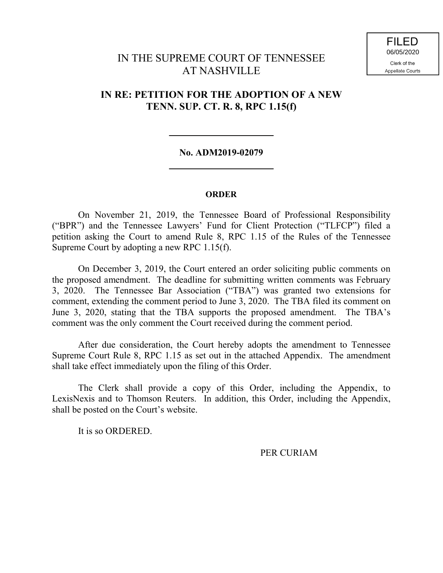# IN THE SUPREME COURT OF TENNESSEE AT NASHVILLE

## **IN RE: PETITION FOR THE ADOPTION OF A NEW TENN. SUP. CT. R. 8, RPC 1.15(f)**

### **No. ADM2019-02079**

#### **ORDER**

On November 21, 2019, the Tennessee Board of Professional Responsibility ("BPR") and the Tennessee Lawyers' Fund for Client Protection ("TLFCP") filed a petition asking the Court to amend Rule 8, RPC 1.15 of the Rules of the Tennessee Supreme Court by adopting a new RPC 1.15(f).

On December 3, 2019, the Court entered an order soliciting public comments on the proposed amendment. The deadline for submitting written comments was February 3, 2020. The Tennessee Bar Association ("TBA") was granted two extensions for comment, extending the comment period to June 3, 2020. The TBA filed its comment on June 3, 2020, stating that the TBA supports the proposed amendment. The TBA's comment was the only comment the Court received during the comment period.

After due consideration, the Court hereby adopts the amendment to Tennessee Supreme Court Rule 8, RPC 1.15 as set out in the attached Appendix. The amendment shall take effect immediately upon the filing of this Order.

The Clerk shall provide a copy of this Order, including the Appendix, to LexisNexis and to Thomson Reuters. In addition, this Order, including the Appendix, shall be posted on the Court's website.

It is so ORDERED.

PER CURIAM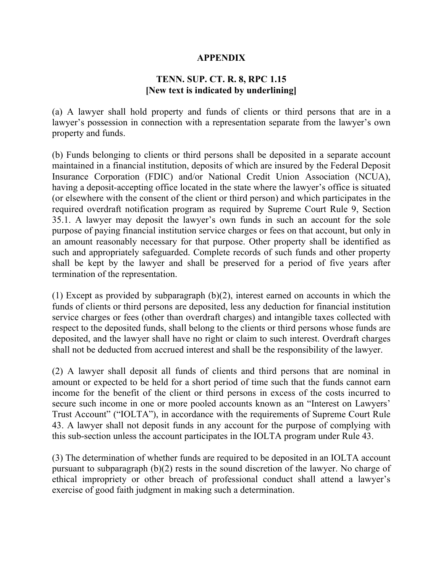## **APPENDIX**

## **TENN. SUP. CT. R. 8, RPC 1.15 [New text is indicated by underlining]**

(a) A lawyer shall hold property and funds of clients or third persons that are in a lawyer's possession in connection with a representation separate from the lawyer's own property and funds.

(b) Funds belonging to clients or third persons shall be deposited in a separate account maintained in a financial institution, deposits of which are insured by the Federal Deposit Insurance Corporation (FDIC) and/or National Credit Union Association (NCUA), having a deposit-accepting office located in the state where the lawyer's office is situated (or elsewhere with the consent of the client or third person) and which participates in the required overdraft notification program as required by Supreme Court Rule 9, Section 35.1. A lawyer may deposit the lawyer's own funds in such an account for the sole purpose of paying financial institution service charges or fees on that account, but only in an amount reasonably necessary for that purpose. Other property shall be identified as such and appropriately safeguarded. Complete records of such funds and other property shall be kept by the lawyer and shall be preserved for a period of five years after termination of the representation.

(1) Except as provided by subparagraph (b)(2), interest earned on accounts in which the funds of clients or third persons are deposited, less any deduction for financial institution service charges or fees (other than overdraft charges) and intangible taxes collected with respect to the deposited funds, shall belong to the clients or third persons whose funds are deposited, and the lawyer shall have no right or claim to such interest. Overdraft charges shall not be deducted from accrued interest and shall be the responsibility of the lawyer.

(2) A lawyer shall deposit all funds of clients and third persons that are nominal in amount or expected to be held for a short period of time such that the funds cannot earn income for the benefit of the client or third persons in excess of the costs incurred to secure such income in one or more pooled accounts known as an "Interest on Lawyers' Trust Account" ("IOLTA"), in accordance with the requirements of Supreme Court Rule 43. A lawyer shall not deposit funds in any account for the purpose of complying with this sub-section unless the account participates in the IOLTA program under Rule 43.

(3) The determination of whether funds are required to be deposited in an IOLTA account pursuant to subparagraph (b)(2) rests in the sound discretion of the lawyer. No charge of ethical impropriety or other breach of professional conduct shall attend a lawyer's exercise of good faith judgment in making such a determination.